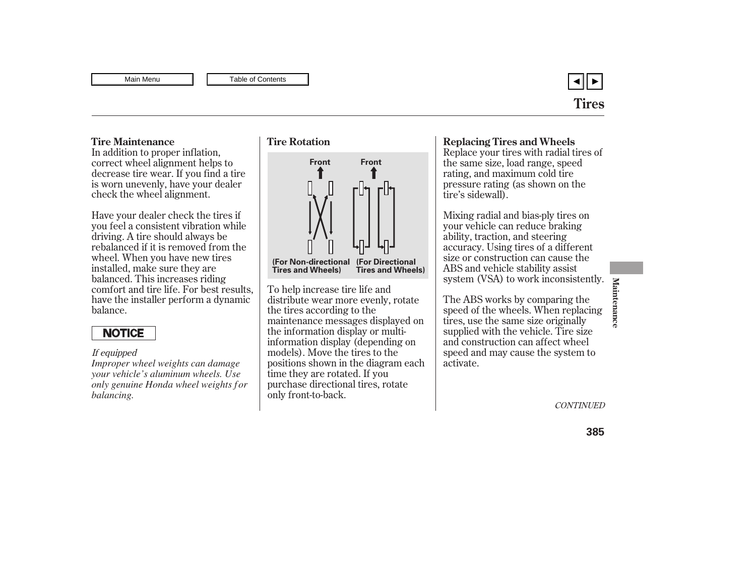

In addition to proper inflation, correct wheel alignment helps to decrease tire wear. If you find a tire is worn unevenly, have your dealer check the wheel alignment.

Have your dealer check the tires if you feel a consistent vibration while driving. A tire should always be rebalanced if it is removed from the wheel. When you have new tires installed, make sure they are balanced. This increases riding comfort and tire life. For best results, have the installer perform a dynamic balance.

# **NOTICE**

### If equipped

*Improper wheel weights can damage your vehicle's aluminum wheels. Use only genuine Honda wheel weights f or balancing.*



To help increase tire life and distribute wear more evenly, rotate the tires according to the maintenance messages displayed on the information display or multiinformation display (depending on models). Move the tires to the positions shown in the diagram each time they are rotated. If you purchase directional tires, rotate only front-to-back.

## <span id="page-0-0"></span>Tire Maintenance **Time Rotation Time Rotation Replacing Tires and Wheels**

Replace your tires with radial tires of the same size, load range, speed rating, and maximum cold tire pressure rating (as shown on the tire's sidewall).

Mixing radial and bias-ply tires on your vehicle can reduce braking ability, traction, and steering accuracy. Using tires of a different size or construction can cause the ABS and vehicle stability assist system (VSA) to work inconsistently.

The ABS works by comparing the speed of the wheels. When replacing tires, use the same size originally supplied with the vehicle. Tire size and construction can affect wheel speed and may cause the system to activate.

**CONTINUED**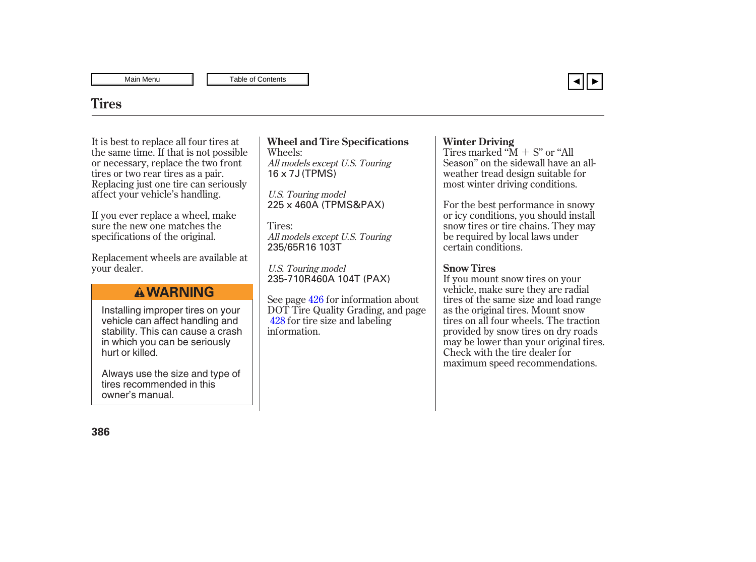

## **Tires**

It is best to replace all four tires at the same time. If that is not possible or necessary, replace the two front tires or two rear tires as a pair. Replacing just one tire can seriously affect your vehicle's handling.

If you ever replace a wheel, make sure the new one matches the specifications of the original.

Replacement wheels are available at your dealer.

## **A WARNING**

Installing improper tires on your vehicle can affect handling and stability. This can cause a crash in which you can be seriously hurt or killed.

Always use the size and type of tires recommended in this owner's manual.

Wheels: All models except U.S. Touring Wheel and Tire Specifications Vinter Driving 16 x 7J (TPMS)

U.S. Touring model 225 x 460A (TPMS&PAX)

Tires: All models except U.S. Touring 235/65R16 103T

U.S. Touring model 235-710R460A 104T (PAX)

See page 426 for information about DOT Tire Quality Grading, and page [428](#page-6-0) for tire size and labeling information.

Tires marked " $M + S$ " or "All Season'' on the sidewall have an allweather tread design suitable for most winter driving conditions.

For the best performance in snowy or icy conditions, you should install snow tires or tire chains. They may be required by local laws under certain conditions.

### **Snow Tires**

If you mount snow tires on your vehicle, make sure they are radial tires of the same size and load range as the original tires. Mount snow tires on all four wheels. The traction provided by snow tires on dry roads may be lower than your original tires. Check with the tire dealer for maximum speed recommendations.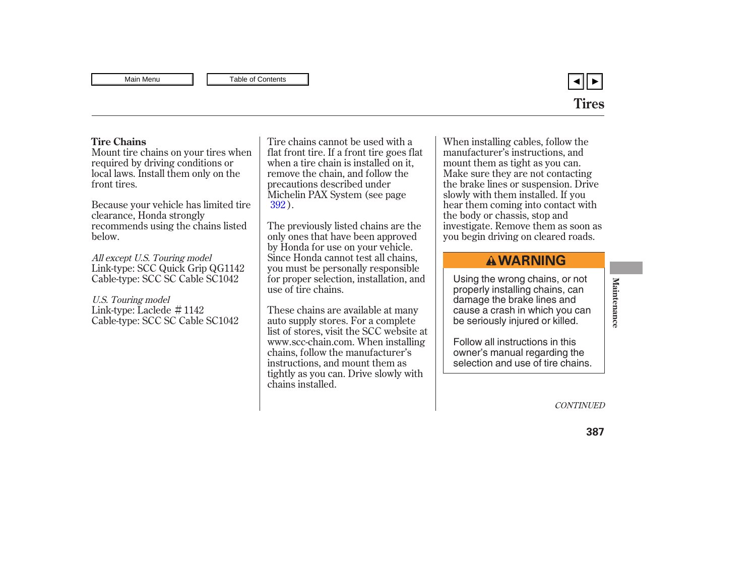

### <span id="page-2-0"></span>**Tire Chains**

Mount tire chains on your tires when required by driving conditions or local laws. Install them only on the front tires.

Because your vehicle has limited tire clearance, Honda strongly recommends using the chains listed below.

Link-type: SCC Quick Grip QG1142 Cable-type: SCC SC Cable SC1042 All except U.S. Touring model

Link-type: Laclede # 1142 Cable-type: SCC SC Cable SC1042 U.S. Touring model

Tire chains cannot be used with a flat front tire. If a front tire goes flat when a tire chain is installed on it, remove the chain, and follow the precautions described under Michelin PAX System (see page ). [392](#page-0-0)

The previously listed chains are the only ones that have been approved by Honda for use on your vehicle. Since Honda cannot test all chains, you must be personally responsible for proper selection, installation, and use of tire chains.

These chains are available at many auto supply stores. For a complete list of stores, visit the SCC website at www.scc-chain.com. When installing chains, follow the manufacturer's instructions, and mount them as tightly as you can. Drive slowly with chains installed.

When installing cables, follow the manufacturer's instructions, and mount them as tight as you can. Make sure they are not contacting the brake lines or suspension. Drive slowly with them installed. If you hear them coming into contact with the body or chassis, stop and investigate. Remove them as soon as you begin driving on cleared roads.

# **A WARNING**

Using the wrong chains, or not properly installing chains, can damage the brake lines and cause a crash in which you can be seriously injured or killed.

Follow all instructions in this owner's manual regarding the selection and use of tire chains.

**CONTINUED**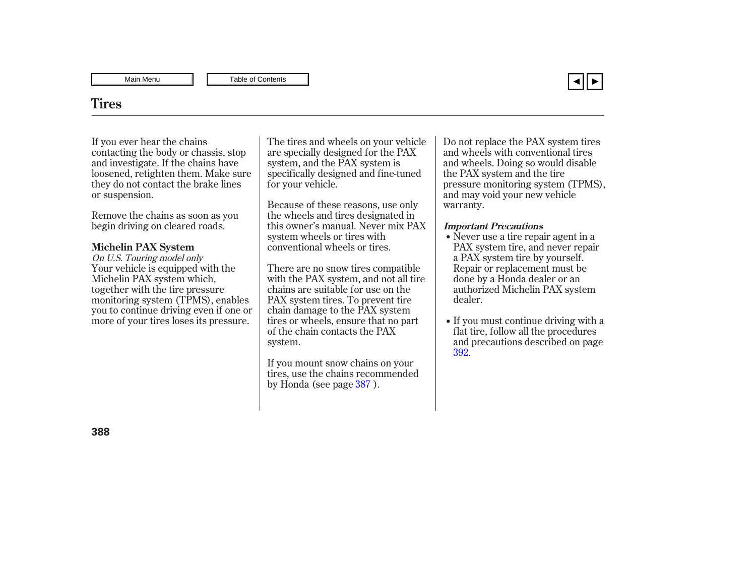

## **Tires**

If you ever hear the chains contacting the body or chassis, stop and investigate. If the chains have loosened, retighten them. Make sure they do not contact the brake lines or suspension.

Remove the chains as soon as you begin driving on cleared roads.

### **Michelin PAX System**

Your vehicle is equipped with the Michelin PAX system which, together with the tire pressure monitoring system (TPMS), enables you to continue driving even if one or more of your tires loses its pressure. On U.S. Touring model only

The tires and wheels on your vehicle are specially designed for the PAX system, and the PAX system is specifically designed and fine-tuned for your vehicle.

Because of these reasons, use only the wheels and tires designated in this owner's manual. Never mix PAX system wheels or tires with conventional wheels or tires.

There are no snow tires compatible with the PAX system, and not all tire chains are suitable for use on the PAX system tires. To prevent tire chain damage to the PAX system tires or wheels, ensure that no part of the chain contacts the PAX system.

If you mount snow chains on your tires, use the chains recommended by Honda (see page 387).

Do not replace the PAX system tires and wheels with conventional tires and wheels. Doing so would disable the PAX system and the tire pressure monitoring system (TPMS), and may void your new vehicle warranty.

#### **Important Precautions**

- Never use a tire repair agent in a PAX system tire, and never repair a PAX system tire by yourself. Repair or replacement must be done by a Honda dealer or an authorized Michelin PAX system dealer.
- If you must continue driving with a flat tire, follow all the procedures and precautions described on page . [392](#page-0-0)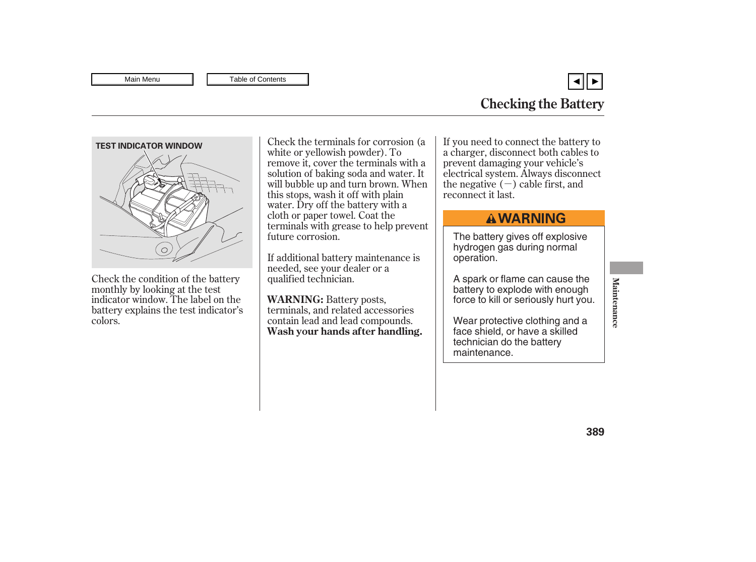▼

<span id="page-4-0"></span>

Check the condition of the battery monthly by looking at the test indicator window. The label on the battery explains the test indicator's colors.

Check the terminals for corrosion (a white or yellowish powder). To remove it, cover the terminals with a solution of baking soda and water. It will bubble up and turn brown. When this stops, wash it off with plain water. Dry off the battery with a cloth or paper towel. Coat the terminals with grease to help prevent future corrosion.

If additional battery maintenance is needed, see your dealer or a qualified technician.

**WARNING:** Battery posts, terminals, and related accessories contain lead and lead compounds. **Wash your hands after handling.**

the negative  $(-)$  cable first, and If you need to connect the battery to a charger, disconnect both cables to prevent damaging your vehicle's electrical system. Always disconnect reconnect it last.

# **AWARNING**

The battery gives off explosive hydrogen gas during normal operation.

A spark or flame can cause the battery to explode with enough force to kill or seriously hurt you.

Wear protective clothing and a face shield, or have a skilled technician do the battery maintenance.